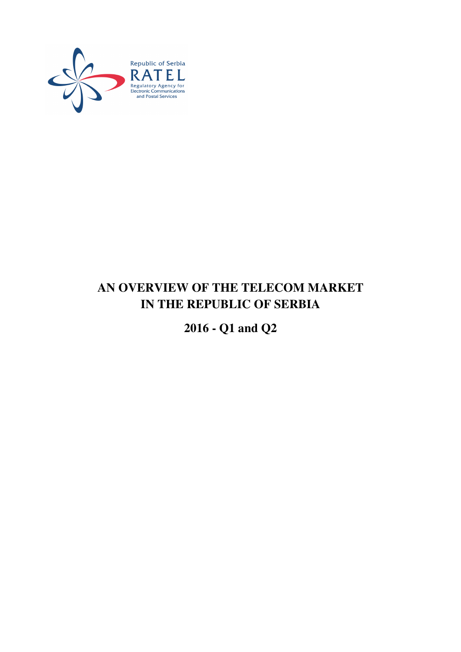

# **AN OVERVIEW OF THE TELECOM MARKET IN THE REPUBLIC OF SERBIA**

**2016 - Q1 and Q2**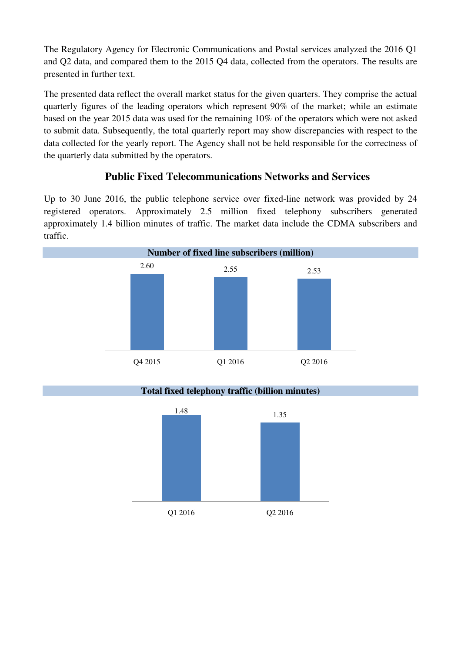The Regulatory Agency for Electronic Communications and Postal services analyzed the 2016 Q1 and Q2 data, and compared them to the 2015 Q4 data, collected from the operators. The results are presented in further text.

The presented data reflect the overall market status for the given quarters. They comprise the actual quarterly figures of the leading operators which represent 90% of the market; while an estimate based on the year 2015 data was used for the remaining 10% of the operators which were not asked to submit data. Subsequently, the total quarterly report may show discrepancies with respect to the data collected for the yearly report. The Agency shall not be held responsible for the correctness of the quarterly data submitted by the operators.

# **Public Fixed Telecommunications Networks and Services**

Up to 30 June 2016, the public telephone service over fixed-line network was provided by 24 registered operators. Approximately 2.5 million fixed telephony subscribers generated approximately 1.4 billion minutes of traffic. The market data include the CDMA subscribers and traffic.

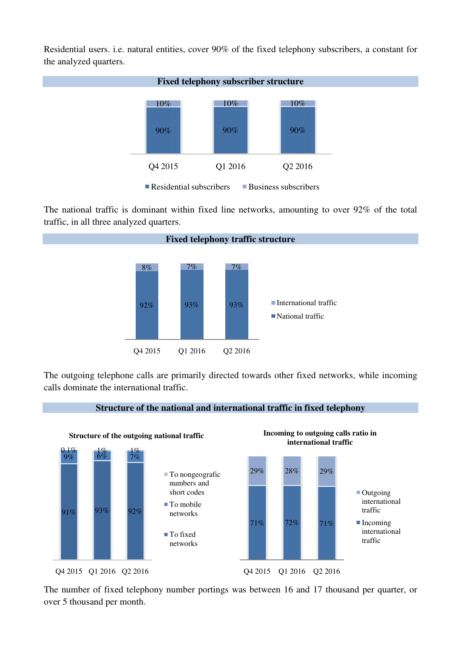Residential users. i.e. natural entities, cover 90% of the fixed telephony subscribers, a constant for the analyzed quarters.



The national traffic is dominant within fixed line networks, amounting to over 92% of the total traffic, in all three analyzed quarters.



The outgoing telephone calls are primarily directed towards other fixed networks, while incoming calls dominate the international traffic.



The number of fixed telephony number portings was between 16 and 17 thousand per quarter, or over 5 thousand per month.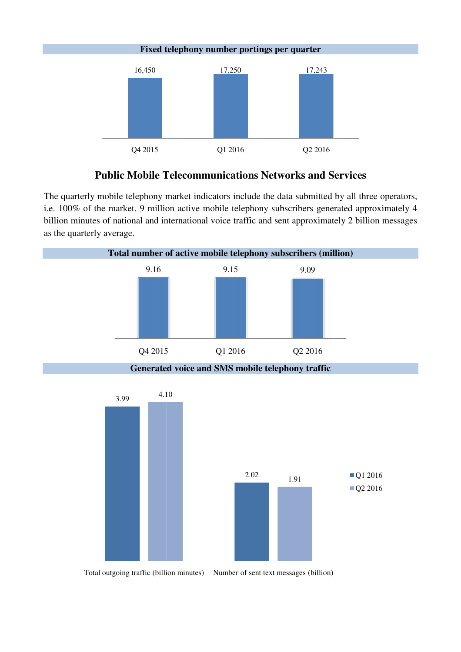

### **Public Mobile Telecommunications Networks and Services**

The quarterly mobile telephony market indicators include the data submitted by all three operators, i.e. 100% of the market. 9 million active mobile telephony subscribers generated approximately 4 billion minutes of national and international voice traffic and sent approximately 2 billion messages as the quarterly average.

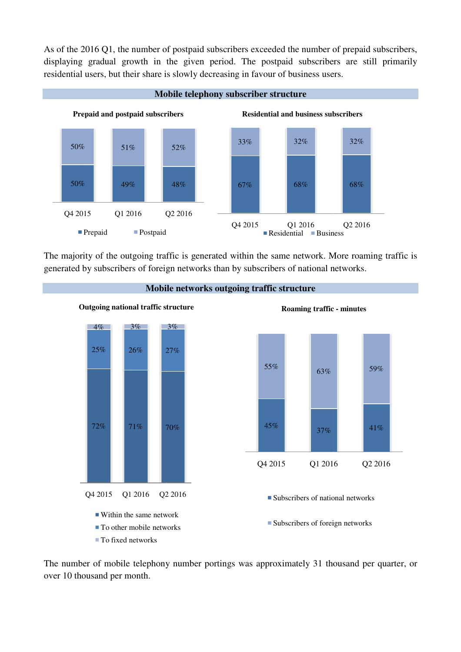As of the 2016 Q1, the number of postpaid subscribers exceeded the number of prepaid subscribers, displaying gradual growth in the given period. The postpaid subscribers are still primarily residential users, but their share is slowly decreasing in favour of business users. paid subscribers exceeded the number of p<br>iven period. The postpaid subscribers<br>vly decreasing in favour of business users.



The majority of the outgoing traffic is generated within the same network. More roaming traffic is generated by subscribers of foreign networks than by subscribers of national networks.



The number of mobile telephony number portings was approximately 31 thousand per quarter, or over 10 thousand per month.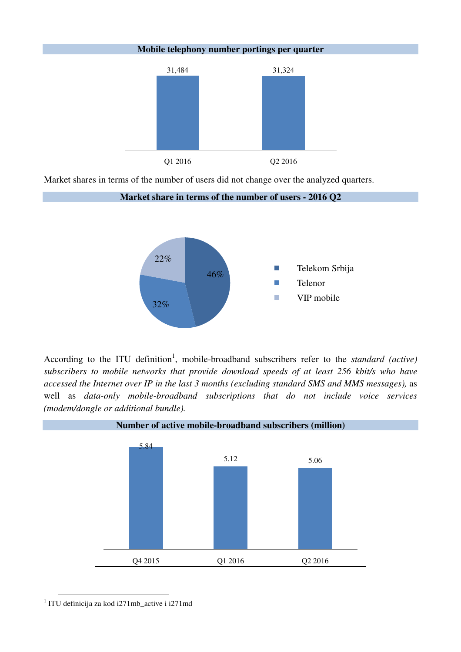**Mobile telephony number portings per quarter** 



Market shares in terms of the number of users did not change over the analyzed quarters.



According to the ITU definition<sup>1</sup>, mobile-broadband subscribers refer to the *standard (active) subscribers to mobile networks that provide download speeds of at least 256 kbit/s who have accessed the Internet over IP in the last 3 months (excluding standard SMS and MMS messages),* as well as *data-only mobile-broadband subscriptions that do not include voice services (modem/dongle or additional bundle).* 



1 ITU definicija za kod i271mb\_active i i271md

 $\overline{a}$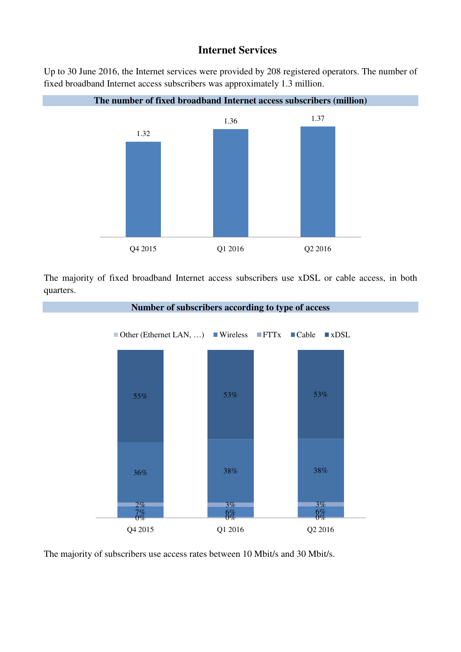### **Internet Services**

Up to 30 June 2016, the Internet services were provided by 208 registered operators. The number of fixed broadband Internet access subscribers was approximately 1.3 million.



**The number of fixed broadband Internet access subscribers (million)** 

The majority of fixed broadband Internet access subscribers use xDSL or cable access, in both quarters.



The majority of subscribers use access rates between 10 Mbit/s and 30 Mbit/s.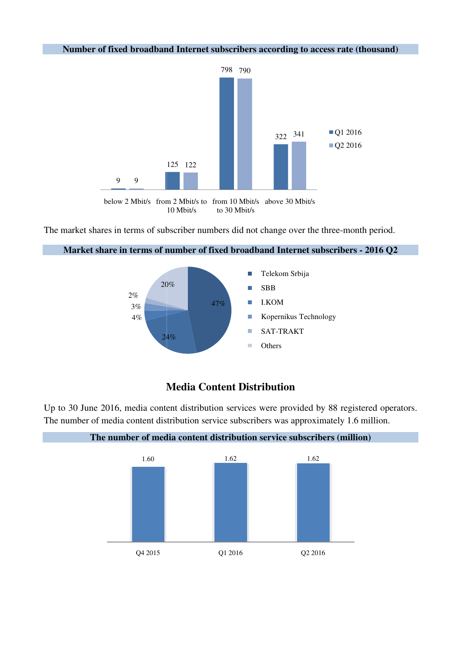#### Number of fixed broadband Internet subscribers according to access rate (thousand)



<sup>10</sup> Mbit/s to 30 Mbit/s

The market shares in terms of subscriber numbers did not change over the three-month period.



#### Market share in terms of number of fixed broadband Internet subscribers - 2016 Q2

## **Media Content Distribution**

Up to 30 June 2016, media content distribution services were provided by 88 registered operators. The number of media content distribution service subscribers was approximately 1.6 million.